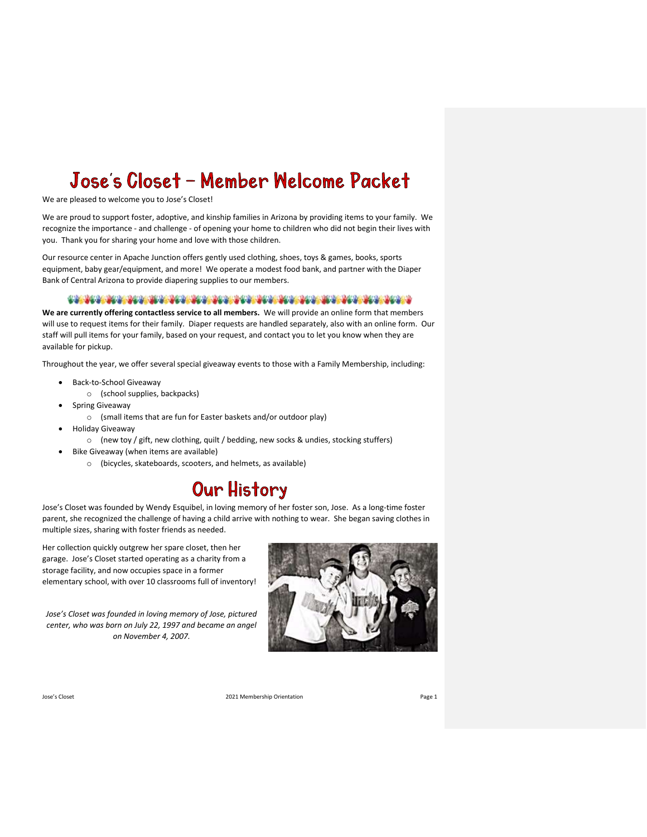# Jose's Closet - Member Welcome Packet

We are pleased to welcome you to Jose's Closet!

We are proud to support foster, adoptive, and kinship families in Arizona by providing items to your family. We recognize the importance - and challenge - of opening your home to children who did not begin their lives with you. Thank you for sharing your home and love with those children.

Our resource center in Apache Junction offers gently used clothing, shoes, toys & games, books, sports equipment, baby gear/equipment, and more! We operate a modest food bank, and partner with the Diaper Bank of Central Arizona to provide diapering supplies to our members.

#### 

**We are currently offering contactless service to all members.** We will provide an online form that members will use to request items for their family. Diaper requests are handled separately, also with an online form. Our staff will pull items for your family, based on your request, and contact you to let you know when they are available for pickup.

Throughout the year, we offer several special giveaway events to those with a Family Membership, including:

- Back-to-School Giveaway
	- o (school supplies, backpacks)
- Spring Giveaway
	- o (small items that are fun for Easter baskets and/or outdoor play)
- Holiday Giveaway
	- o (new toy / gift, new clothing, quilt / bedding, new socks & undies, stocking stuffers)
- Bike Giveaway (when items are available)
	- o (bicycles, skateboards, scooters, and helmets, as available)

#### Our History

Jose's Closet was founded by Wendy Esquibel, in loving memory of her foster son, Jose. As a long-time foster parent, she recognized the challenge of having a child arrive with nothing to wear. She began saving clothes in multiple sizes, sharing with foster friends as needed.

Her collection quickly outgrew her spare closet, then her garage. Jose's Closet started operating as a charity from a storage facility, and now occupies space in a former elementary school, with over 10 classrooms full of inventory!

*Jose's Closet was founded in loving memory of Jose, pictured center, who was born on July 22, 1997 and became an angel on November 4, 2007.*

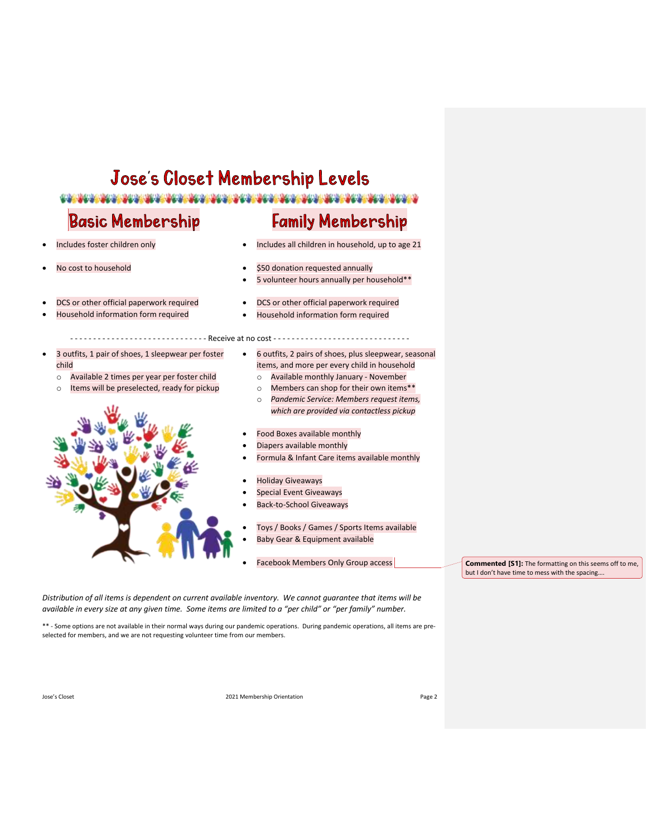## Jose's Closet Membership Levels

#### <u>TA NGC 1994 NGC 1994 NGC 1994 NGC 1994 NGC 1994 NGC 1994 NGC 1994 NGC 1994 NGC 1994 NGC 1994 NGC 1994 NGC 199</u>

- - - - - - - - - - - - - - - - - - - - - - - - - - - - - - Receive at no cost - - - - - - - - - - - - - - - - - - - - - - - - - - - - - -

#### **Basic Membership**

## **Family Membership**

- Includes foster children only
- No cost to household
- DCS or other official paperwork required
- Household information form required
- 3 outfits, 1 pair of shoes, 1 sleepwear per foster child
	- o Available 2 times per year per foster child
	- o Items will be preselected, ready for pickup
- 
- Includes all children in household, up to age 21
- \$50 donation requested annually
- 5 volunteer hours annually per household\*\*
- DCS or other official paperwork required
- Household information form required
- 6 outfits, 2 pairs of shoes, plus sleepwear, seasonal items, and more per every child in household
	- o Available monthly January November o Members can shop for their own items\*\*
	- o *Pandemic Service: Members request items, which are provided via contactless pickup*
- Food Boxes available monthly
- Diapers available monthly
- Formula & Infant Care items available monthly
- Holiday Giveaways
- Special Event Giveaways
- Back-to-School Giveaways
- Toys / Books / Games / Sports Items available
- Baby Gear & Equipment available
- Facebook Members Only Group access

**Commented [S1]:** The formatting on this seems off to me, but I don't have time to mess with the spacing….

*Distribution of all items is dependent on current available inventory. We cannot guarantee that items will be available in every size at any given time. Some items are limited to a "per child" or "per family" number.*

\*\* - Some options are not available in their normal ways during our pandemic operations. During pandemic operations, all items are preselected for members, and we are not requesting volunteer time from our members.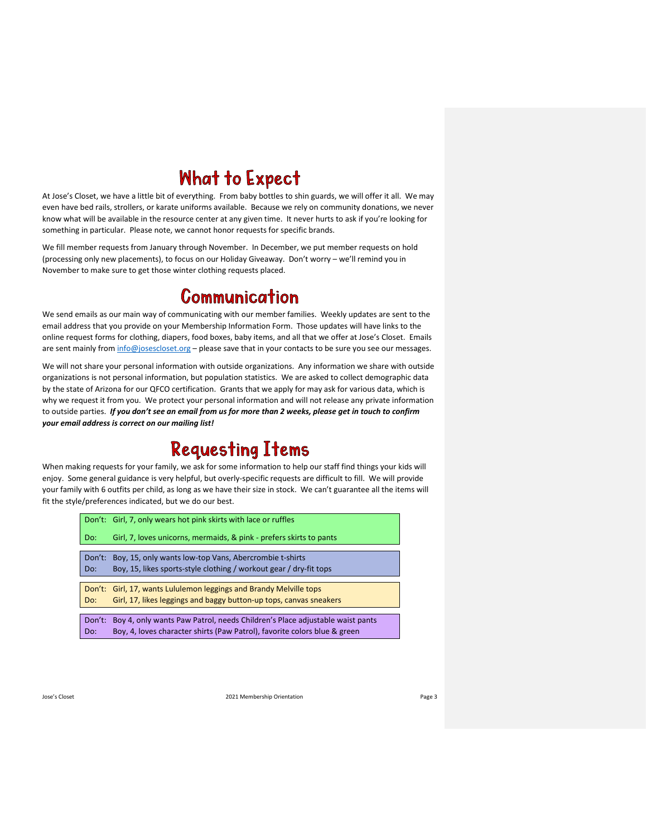## **What to Expect**

At Jose's Closet, we have a little bit of everything. From baby bottles to shin guards, we will offer it all. We may even have bed rails, strollers, or karate uniforms available. Because we rely on community donations, we never know what will be available in the resource center at any given time. It never hurts to ask if you're looking for something in particular. Please note, we cannot honor requests for specific brands.

We fill member requests from January through November. In December, we put member requests on hold (processing only new placements), to focus on our Holiday Giveaway. Don't worry – we'll remind you in November to make sure to get those winter clothing requests placed.

#### **Communication**

We send emails as our main way of communicating with our member families. Weekly updates are sent to the email address that you provide on your Membership Information Form. Those updates will have links to the online request forms for clothing, diapers, food boxes, baby items, and all that we offer at Jose's Closet. Emails are sent mainly fro[m info@josescloset.org](mailto:info@josescloset.org) - please save that in your contacts to be sure you see our messages.

We will not share your personal information with outside organizations. Any information we share with outside organizations is not personal information, but population statistics. We are asked to collect demographic data by the state of Arizona for our QFCO certification. Grants that we apply for may ask for various data, which is why we request it from you. We protect your personal information and will not release any private information to outside parties. *If you don't see an email from us for more than 2 weeks, please get in touch to confirm your email address is correct on our mailing list!*

## **Requesting Items**

When making requests for your family, we ask for some information to help our staff find things your kids will enjoy. Some general guidance is very helpful, but overly-specific requests are difficult to fill. We will provide your family with 6 outfits per child, as long as we have their size in stock. We can't guarantee all the items will fit the style/preferences indicated, but we do our best.

|        | Don't: Girl, 7, only wears hot pink skirts with lace or ruffles             |  |
|--------|-----------------------------------------------------------------------------|--|
| Do:    | Girl, 7, loves unicorns, mermaids, & pink - prefers skirts to pants         |  |
|        |                                                                             |  |
| Don't: | Boy, 15, only wants low-top Vans, Abercrombie t-shirts                      |  |
| Do:    | Boy, 15, likes sports-style clothing / workout gear / dry-fit tops          |  |
|        |                                                                             |  |
|        | Don't: Girl, 17, wants Lululemon leggings and Brandy Melville tops          |  |
| Do:    | Girl, 17, likes leggings and baggy button-up tops, canvas sneakers          |  |
|        |                                                                             |  |
| Don't: | Boy 4, only wants Paw Patrol, needs Children's Place adjustable waist pants |  |
| Do:    | Boy, 4, loves character shirts (Paw Patrol), favorite colors blue & green   |  |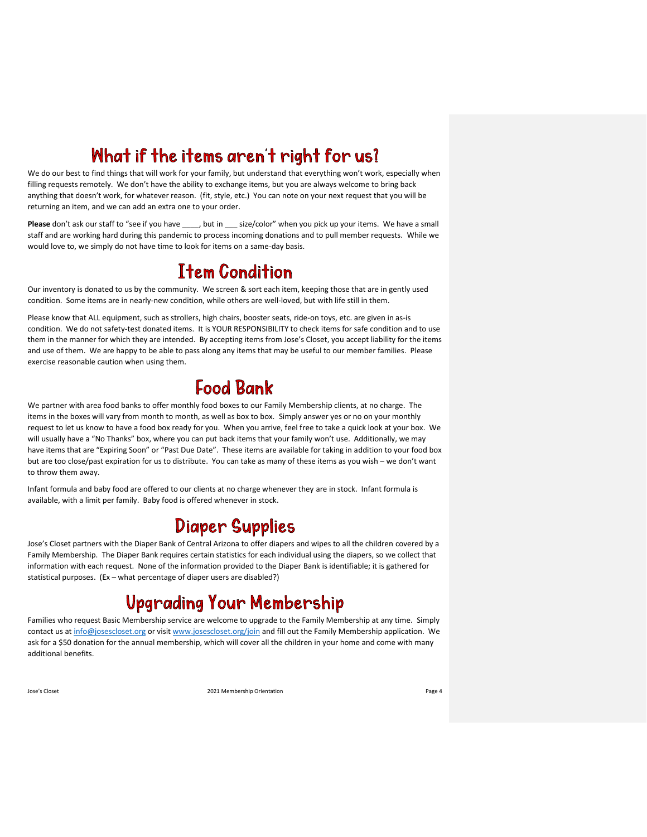## What if the items aren't right for us?

We do our best to find things that will work for your family, but understand that everything won't work, especially when filling requests remotely. We don't have the ability to exchange items, but you are always welcome to bring back anything that doesn't work, for whatever reason. (fit, style, etc.) You can note on your next request that you will be returning an item, and we can add an extra one to your order.

**Please** don't ask our staff to "see if you have \_\_\_\_, but in \_\_\_ size/color" when you pick up your items. We have a small staff and are working hard during this pandemic to process incoming donations and to pull member requests. While we would love to, we simply do not have time to look for items on a same-day basis.

## **Item Condition**

Our inventory is donated to us by the community. We screen & sort each item, keeping those that are in gently used condition. Some items are in nearly-new condition, while others are well-loved, but with life still in them.

Please know that ALL equipment, such as strollers, high chairs, booster seats, ride-on toys, etc. are given in as-is condition. We do not safety-test donated items. It is YOUR RESPONSIBILITY to check items for safe condition and to use them in the manner for which they are intended. By accepting items from Jose's Closet, you accept liability for the items and use of them. We are happy to be able to pass along any items that may be useful to our member families. Please exercise reasonable caution when using them.

### **Food Bank**

We partner with area food banks to offer monthly food boxes to our Family Membership clients, at no charge. The items in the boxes will vary from month to month, as well as box to box. Simply answer yes or no on your monthly request to let us know to have a food box ready for you. When you arrive, feel free to take a quick look at your box. We will usually have a "No Thanks" box, where you can put back items that your family won't use. Additionally, we may have items that are "Expiring Soon" or "Past Due Date". These items are available for taking in addition to your food box but are too close/past expiration for us to distribute. You can take as many of these items as you wish – we don't want to throw them away.

Infant formula and baby food are offered to our clients at no charge whenever they are in stock. Infant formula is available, with a limit per family. Baby food is offered whenever in stock.

#### **Diaper Supplies**

Jose's Closet partners with the Diaper Bank of Central Arizona to offer diapers and wipes to all the children covered by a Family Membership. The Diaper Bank requires certain statistics for each individual using the diapers, so we collect that information with each request. None of the information provided to the Diaper Bank is identifiable; it is gathered for statistical purposes. (Ex – what percentage of diaper users are disabled?)

## **Upgrading Your Membership**

Families who request Basic Membership service are welcome to upgrade to the Family Membership at any time. Simply contact us at [info@josescloset.org](mailto:info@josescloset.org) or visit [www.josescloset.org/join](http://www.josescloset.org/join) and fill out the Family Membership application. We ask for a \$50 donation for the annual membership, which will cover all the children in your home and come with many additional benefits.